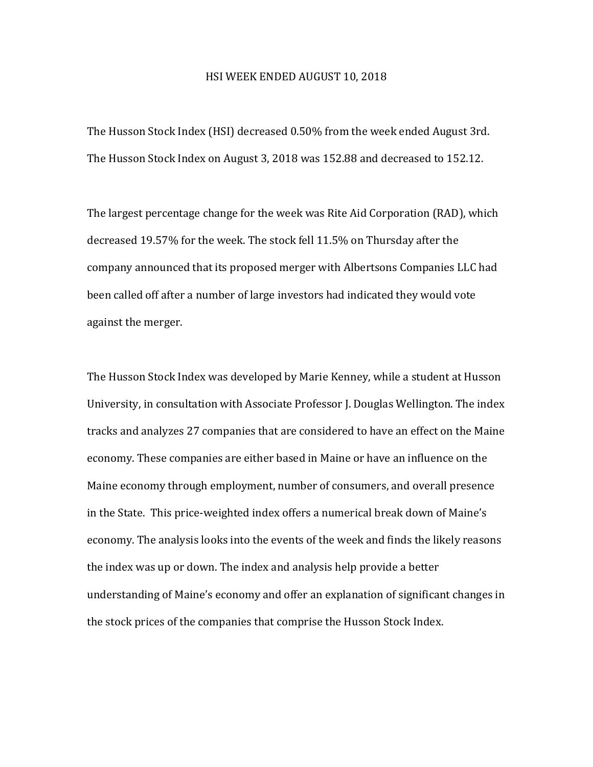## HSI WEEK ENDED AUGUST 10, 2018

The Husson Stock Index (HSI) decreased 0.50% from the week ended August 3rd. The Husson Stock Index on August 3, 2018 was 152.88 and decreased to 152.12.

The largest percentage change for the week was Rite Aid Corporation (RAD), which decreased 19.57% for the week. The stock fell 11.5% on Thursday after the company announced that its proposed merger with Albertsons Companies LLC had been called off after a number of large investors had indicated they would vote against the merger.

The Husson Stock Index was developed by Marie Kenney, while a student at Husson University, in consultation with Associate Professor J. Douglas Wellington. The index tracks and analyzes 27 companies that are considered to have an effect on the Maine economy. These companies are either based in Maine or have an influence on the Maine economy through employment, number of consumers, and overall presence in the State. This price-weighted index offers a numerical break down of Maine's economy. The analysis looks into the events of the week and finds the likely reasons the index was up or down. The index and analysis help provide a better understanding of Maine's economy and offer an explanation of significant changes in the stock prices of the companies that comprise the Husson Stock Index.